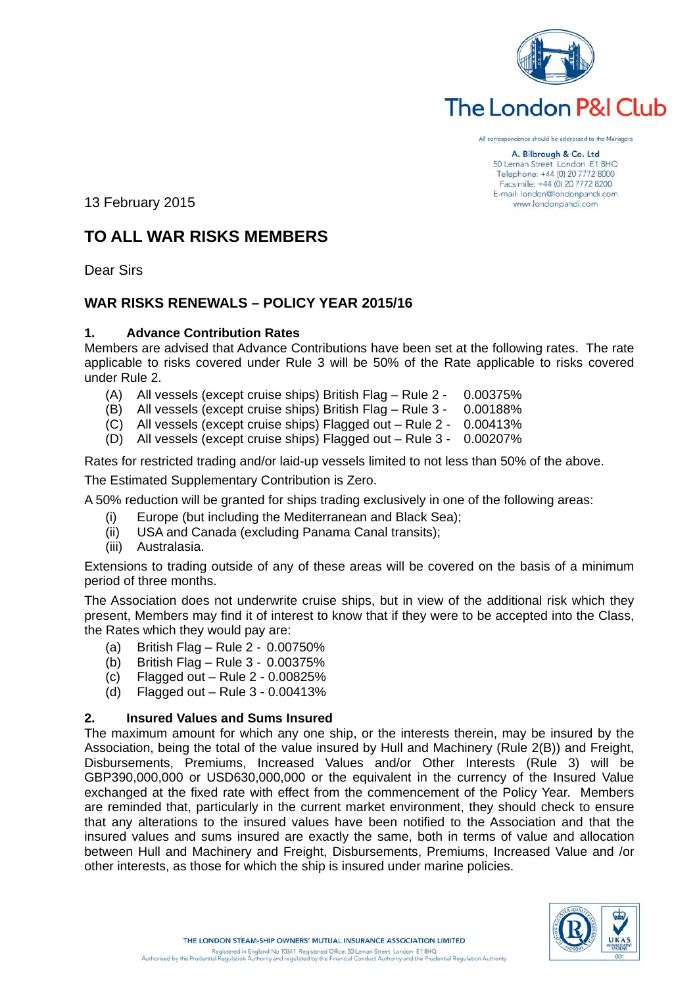

# The London P&I Club

All correspondence should be addressed to the Managers

A. Bilbrough & Co. Ltd 50 Leman Street London E1 8HQ Telephone: +44 (0) 20 7772 8000 Facsimile: +44 (0) 20 7772 8200 E-mail: london@londonpandi.com www.londonpandi.com

13 February 2015

# **TO ALL WAR RISKS MEMBERS**

Dear Sirs

# **WAR RISKS RENEWALS – POLICY YEAR 2015/16**

# **1. Advance Contribution Rates**

Members are advised that Advance Contributions have been set at the following rates. The rate applicable to risks covered under Rule 3 will be 50% of the Rate applicable to risks covered under Rule 2.

- (A) All vessels (except cruise ships) British Flag Rule 2 0.00375%
- (B) All vessels (except cruise ships) British Flag Rule 3 0.00188%
- (C) All vessels (except cruise ships) Flagged out Rule 2 0.00413%
- (D) All vessels (except cruise ships) Flagged out Rule 3 0.00207%

Rates for restricted trading and/or laid-up vessels limited to not less than 50% of the above.

The Estimated Supplementary Contribution is Zero.

A 50% reduction will be granted for ships trading exclusively in one of the following areas:

- (i) Europe (but including the Mediterranean and Black Sea);
- (ii) USA and Canada (excluding Panama Canal transits);
- (iii) Australasia.

Extensions to trading outside of any of these areas will be covered on the basis of a minimum period of three months.

The Association does not underwrite cruise ships, but in view of the additional risk which they present, Members may find it of interest to know that if they were to be accepted into the Class, the Rates which they would pay are:

- (a) British Flag Rule 2 0.00750%
- (b) British Flag Rule 3 0.00375%
- (c) Flagged out Rule 2 0.00825%
- (d) Flagged out Rule 3 0.00413%

# **2. Insured Values and Sums Insured**

The maximum amount for which any one ship, or the interests therein, may be insured by the Association, being the total of the value insured by Hull and Machinery (Rule 2(B)) and Freight, Disbursements, Premiums, Increased Values and/or Other Interests (Rule 3) will be GBP390,000,000 or USD630,000,000 or the equivalent in the currency of the Insured Value exchanged at the fixed rate with effect from the commencement of the Policy Year. Members are reminded that, particularly in the current market environment, they should check to ensure that any alterations to the insured values have been notified to the Association and that the insured values and sums insured are exactly the same, both in terms of value and allocation between Hull and Machinery and Freight, Disbursements, Premiums, Increased Value and /or other interests, as those for which the ship is insured under marine policies.

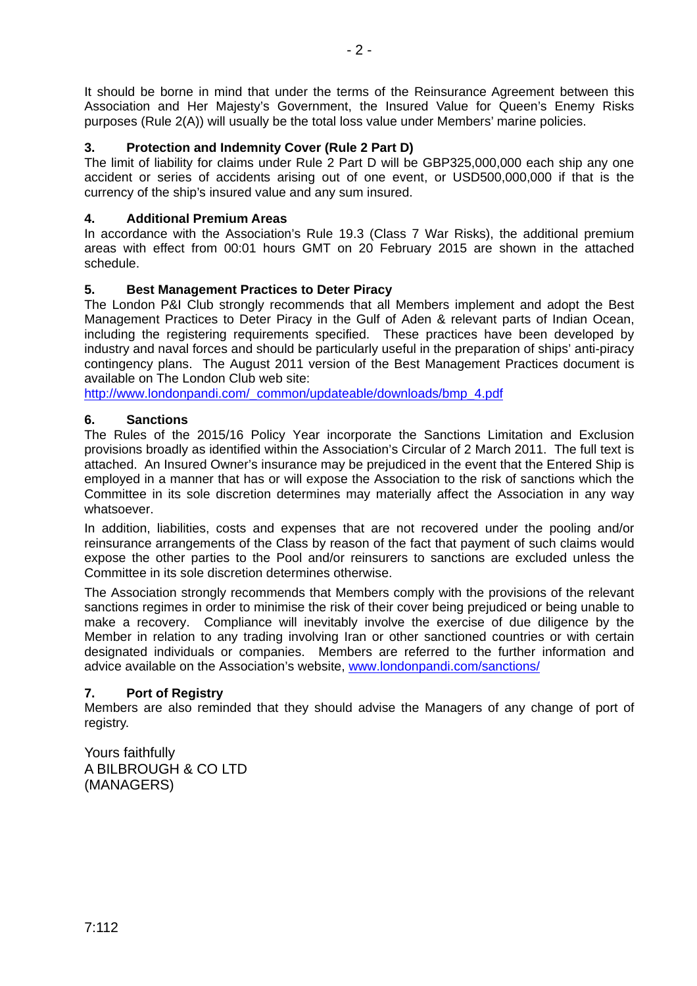It should be borne in mind that under the terms of the Reinsurance Agreement between this Association and Her Majesty's Government, the Insured Value for Queen's Enemy Risks purposes (Rule 2(A)) will usually be the total loss value under Members' marine policies.

# **3. Protection and Indemnity Cover (Rule 2 Part D)**

The limit of liability for claims under Rule 2 Part D will be GBP325,000,000 each ship any one accident or series of accidents arising out of one event, or USD500,000,000 if that is the currency of the ship's insured value and any sum insured.

# **4. Additional Premium Areas**

In accordance with the Association's Rule 19.3 (Class 7 War Risks), the additional premium areas with effect from 00:01 hours GMT on 20 February 2015 are shown in the attached schedule.

# **5. Best Management Practices to Deter Piracy**

The London P&I Club strongly recommends that all Members implement and adopt the Best Management Practices to Deter Piracy in the Gulf of Aden & relevant parts of Indian Ocean, including the registering requirements specified. These practices have been developed by industry and naval forces and should be particularly useful in the preparation of ships' anti-piracy contingency plans. The August 2011 version of the Best Management Practices document is available on The London Club web site:

http://www.londonpandi.com/\_common/updateable/downloads/bmp\_4.pdf

# **6. Sanctions**

The Rules of the 2015/16 Policy Year incorporate the Sanctions Limitation and Exclusion provisions broadly as identified within the Association's Circular of 2 March 2011. The full text is attached. An Insured Owner's insurance may be prejudiced in the event that the Entered Ship is employed in a manner that has or will expose the Association to the risk of sanctions which the Committee in its sole discretion determines may materially affect the Association in any way whatsoever.

In addition, liabilities, costs and expenses that are not recovered under the pooling and/or reinsurance arrangements of the Class by reason of the fact that payment of such claims would expose the other parties to the Pool and/or reinsurers to sanctions are excluded unless the Committee in its sole discretion determines otherwise.

The Association strongly recommends that Members comply with the provisions of the relevant sanctions regimes in order to minimise the risk of their cover being prejudiced or being unable to make a recovery. Compliance will inevitably involve the exercise of due diligence by the Member in relation to any trading involving Iran or other sanctioned countries or with certain designated individuals or companies. Members are referred to the further information and advice available on the Association's website, www.londonpandi.com/sanctions/

# **7. Port of Registry**

Members are also reminded that they should advise the Managers of any change of port of registry.

Yours faithfully A BILBROUGH & CO LTD (MANAGERS)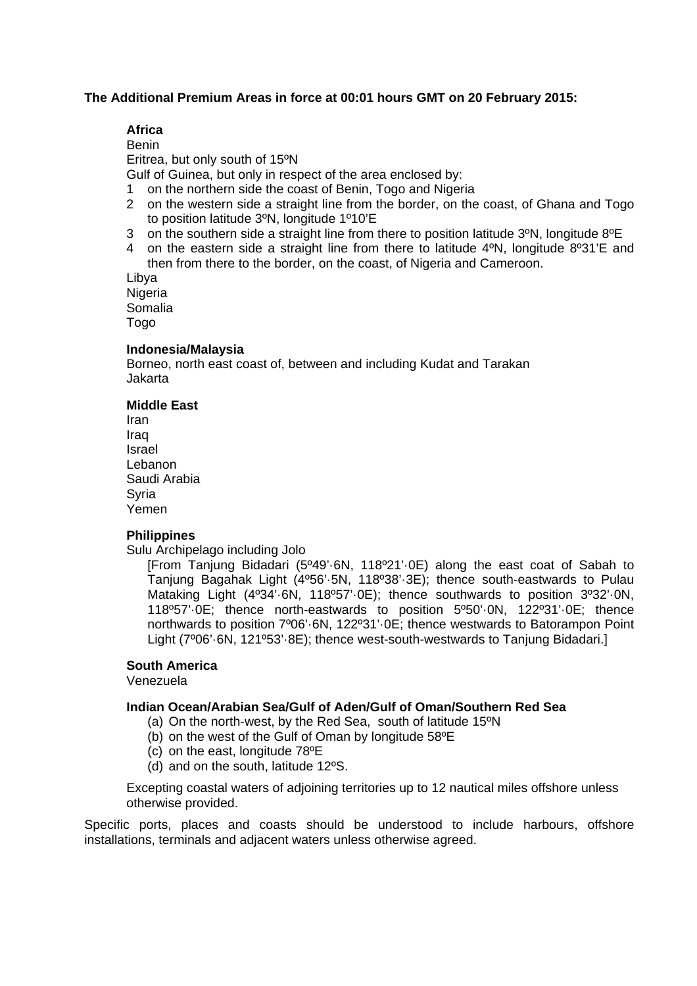#### **The Additional Premium Areas in force at 00:01 hours GMT on 20 February 2015:**

# **Africa**

Benin Eritrea, but only south of 15ºN Gulf of Guinea, but only in respect of the area enclosed by:

1 on the northern side the coast of Benin, Togo and Nigeria

- 2 on the western side a straight line from the border, on the coast, of Ghana and Togo to position latitude 3ºN, longitude 1º10'E
- 3 on the southern side a straight line from there to position latitude 3ºN, longitude 8ºE
- 4 on the eastern side a straight line from there to latitude 4ºN, longitude 8º31'E and then from there to the border, on the coast, of Nigeria and Cameroon.

Libya Nigeria Somalia Togo

#### **Indonesia/Malaysia**

Borneo, north east coast of, between and including Kudat and Tarakan Jakarta

#### **Middle East**

Iran Iraq Israel Lebanon Saudi Arabia **Syria** Yemen

#### **Philippines**

Sulu Archipelago including Jolo

[From Tanjung Bidadari (5º49'·6N, 118º21'·0E) along the east coat of Sabah to Tanjung Bagahak Light (4º56'·5N, 118º38'·3E); thence south-eastwards to Pulau Mataking Light (4º34'·6N, 118º57'·0E); thence southwards to position 3º32'·0N, 118º57'·0E; thence north-eastwards to position 5º50'·0N, 122º31'·0E; thence northwards to position 7º06'·6N, 122º31'·0E; thence westwards to Batorampon Point Light (7°06'.6N, 121°53'.8E); thence west-south-westwards to Tanjung Bidadari.]

# **South America**

Venezuela

#### **Indian Ocean/Arabian Sea/Gulf of Aden/Gulf of Oman/Southern Red Sea**

- (a) On the north-west, by the Red Sea, south of latitude 15ºN
- (b) on the west of the Gulf of Oman by longitude 58ºE
- (c) on the east, longitude 78ºE
- (d) and on the south, latitude 12ºS.

Excepting coastal waters of adjoining territories up to 12 nautical miles offshore unless otherwise provided.

Specific ports, places and coasts should be understood to include harbours, offshore installations, terminals and adjacent waters unless otherwise agreed.